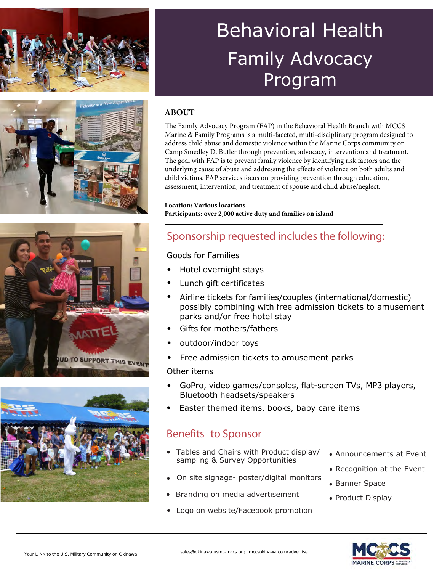





# Behavioral Health Family Advocacy Program

### **ABOUT**

The Family Advocacy Program (FAP) in the Behavioral Health Branch with MCCS Marine & Family Programs is a multi-faceted, multi-disciplinary program designed to address child abuse and domestic violence within the Marine Corps community on Camp Smedley D. Butler through prevention, advocacy, intervention and treatment. The goal with FAP is to prevent family violence by identifying risk factors and the underlying cause of abuse and addressing the effects of violence on both adults and child victims. FAP services focus on providing prevention through education, assessment, intervention, and treatment of spouse and child abuse/neglect.

#### **Location: Various locations Participants: over 2,000 active duty and families on island**

### Sponsorship requested includes the following:

### Goods for Families

- Hotel overnight stays
- Lunch gift certificates
- Airline tickets for families/couples (international/domestic) possibly combining with free admission tickets to amusement parks and/or free hotel stay
- Gifts for mothers/fathers
- outdoor/indoor toys
- Free admission tickets to amusement parks

#### Other items

- GoPro, video games/consoles, flat-screen TVs, MP3 players, Bluetooth headsets/speakers
- Easter themed items, books, baby care items

### Benefits to Sponsor

- Tables and Chairs with Product display/ sampling & Survey Opportunities
- On site signage- poster/digital monitors
- Branding on media advertisement
- Logo on website/Facebook promotion
- Announcements at Event
- Recognition at the Event
- Banner Space
- Product Display

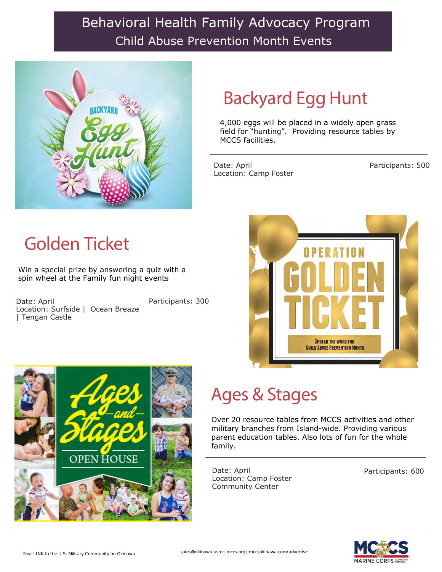## Behavioral Health Family Advocacy Program Child Abuse Prevention Month Events



## Backyard Egg Hunt

4,000 eggs will be placed in a widely open grass field for "hunting". Providing resource tables by MCCS facilities.

Date: April Location: Camp Foster

Participants: 500

## Golden Ticket

Win a special prize by answering a quiz with a spin wheel at the Family fun night events

Date: April Location: Surfside | Ocean Breaze | Tengan Castle

Participants: 300





## Ages & Stages

Over 20 resource tables from MCCS activities and other military branches from Island-wide. Providing various parent education tables. Also lots of fun for the whole family.

Date: April Location: Camp Foster Community Center

Participants: 600